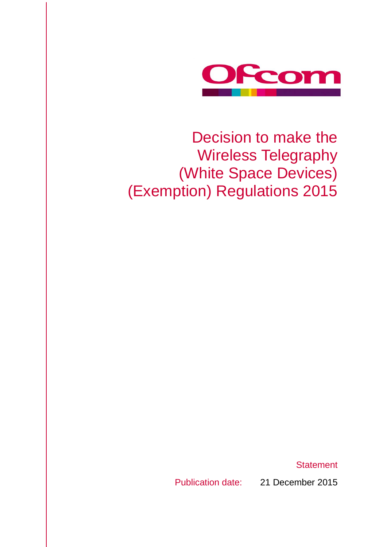

## Decision to make the Wireless Telegraphy (White Space Devices) (Exemption) Regulations 2015

**Statement** 

Publication date: 21 December 2015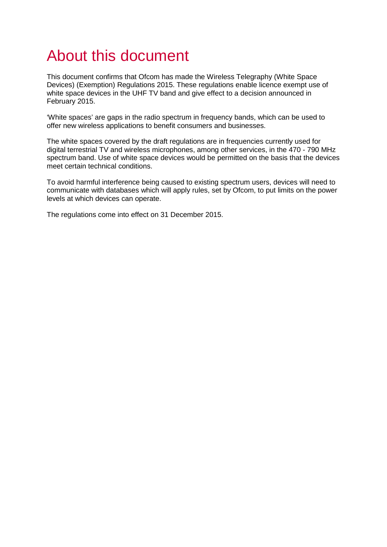## About this document

This document confirms that Ofcom has made the Wireless Telegraphy (White Space Devices) (Exemption) Regulations 2015. These regulations enable licence exempt use of white space devices in the UHF TV band and give effect to a decision announced in February 2015.

'White spaces' are gaps in the radio spectrum in frequency bands, which can be used to offer new wireless applications to benefit consumers and businesses.

The white spaces covered by the draft regulations are in frequencies currently used for digital terrestrial TV and wireless microphones, among other services, in the 470 - 790 MHz spectrum band. Use of white space devices would be permitted on the basis that the devices meet certain technical conditions.

To avoid harmful interference being caused to existing spectrum users, devices will need to communicate with databases which will apply rules, set by Ofcom, to put limits on the power levels at which devices can operate.

The regulations come into effect on 31 December 2015.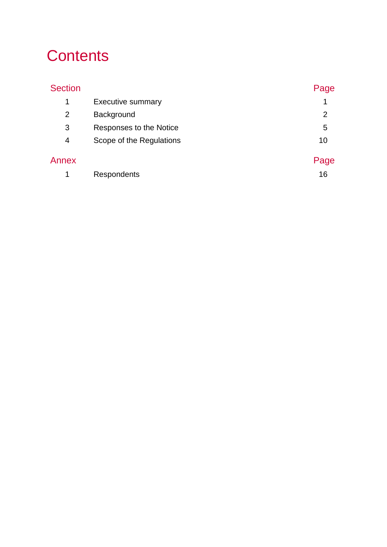## **Contents**

| <b>Section</b> |                          | Page           |
|----------------|--------------------------|----------------|
| 1              | <b>Executive summary</b> | 1              |
| $\overline{2}$ | Background               | $\overline{2}$ |
| 3              | Responses to the Notice  | 5              |
| 4              | Scope of the Regulations | 10             |
| Annex          |                          | Page           |
| 1              | Respondents              | 16             |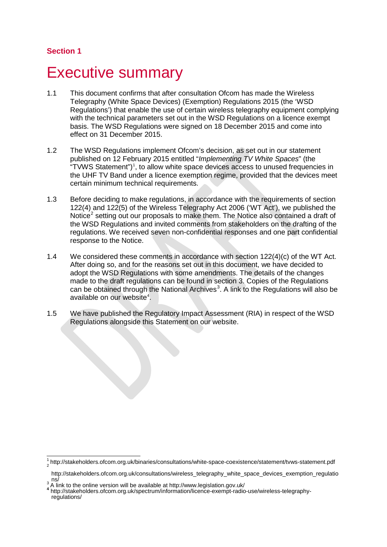## <span id="page-4-0"></span>**Executive summary**

- 1.1 This document confirms that after consultation Ofcom has made the Wireless Telegraphy (White Space Devices) (Exemption) Regulations 2015 (the 'WSD Regulations') that enable the use of certain wireless telegraphy equipment complying with the technical parameters set out in the WSD Regulations on a licence exempt basis. The WSD Regulations were signed on 18 December 2015 and come into effect on 31 December 2015.
- 1.2 The WSD Regulations implement Ofcom's decision, as set out in our statement published on 12 February 2015 entitled "*Implementing TV White Spaces*" (the "TVWS Statement")<sup>1</sup>, to allow white space devices access to unused frequencies in the UHF TV Band under a licence exemption regime, provided that the devices meet certain minimum technical requirements.
- 1.3 Before deciding to make regulations, in accordance with the requirements of section 122(4) and 122(5) of the Wireless Telegraphy Act 2006 ('WT Act'), we published the Notice<sup>[2](#page-4-2)</sup> setting out our proposals to make them. The Notice also contained a draft of the WSD Regulations and invited comments from stakeholders on the drafting of the regulations. We received seven non-confidential responses and one part confidential response to the Notice.
- 1.4 We considered these comments in accordance with section 122(4)(c) of the WT Act. After doing so, and for the reasons set out in this document, we have decided to adopt the WSD Regulations with some amendments. The details of the changes made to the draft regulations can be found in section 3. Copies of the Regulations can be obtained through the National Archives<sup>[3](#page-4-3)</sup>. A link to the Regulations will also be available on our website<sup>[4](#page-4-4)</sup>.
- 1.5 We have published the Regulatory Impact Assessment (RIA) in respect of the WSD Regulations alongside this Statement on our website.

<span id="page-4-1"></span> $\frac{1}{2}$ http://stakeholders.ofcom.org.uk/binaries/consultations/white-space-coexistence/statement/tvws-statement.pdf  $\frac{1}{4}$ 

http://stakeholders.ofcom.org.uk/consultations/wireless\_telegraphy\_white\_space\_devices\_exemption\_regulatio

<span id="page-4-4"></span>

<span id="page-4-3"></span><span id="page-4-2"></span>ns/<br>
<sup>3</sup> A link to the online version will be available at http://www.legislation.gov.uk/<br>
<sup>4</sup> http://stakeholders.ofcom.org.uk/spectrum/information/licence-exempt-radio-use/wireless-telegraphy-<br>
regulations/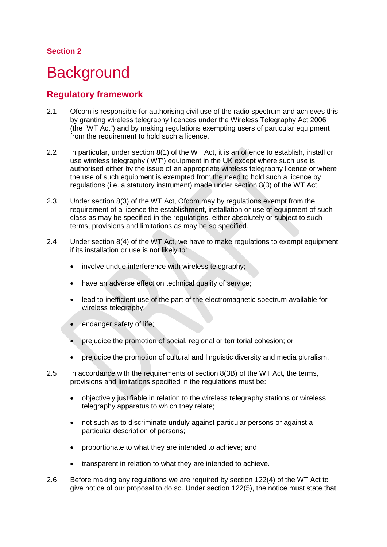## <span id="page-5-0"></span>**Background**

### **Regulatory framework**

- 2.1 Ofcom is responsible for authorising civil use of the radio spectrum and achieves this by granting wireless telegraphy licences under the Wireless Telegraphy Act 2006 (the "WT Act") and by making regulations exempting users of particular equipment from the requirement to hold such a licence.
- 2.2 In particular, under section 8(1) of the WT Act, it is an offence to establish, install or use wireless telegraphy ('WT') equipment in the UK except where such use is authorised either by the issue of an appropriate wireless telegraphy licence or where the use of such equipment is exempted from the need to hold such a licence by regulations (i.e. a statutory instrument) made under section 8(3) of the WT Act.
- 2.3 Under section 8(3) of the WT Act, Ofcom may by regulations exempt from the requirement of a licence the establishment, installation or use of equipment of such class as may be specified in the regulations, either absolutely or subject to such terms, provisions and limitations as may be so specified.
- 2.4 Under section 8(4) of the WT Act, we have to make regulations to exempt equipment if its installation or use is not likely to:
	- involve undue interference with wireless telegraphy;
	- have an adverse effect on technical quality of service;
	- lead to inefficient use of the part of the electromagnetic spectrum available for wireless telegraphy;
	- endanger safety of life;
	- prejudice the promotion of social, regional or territorial cohesion; or
	- prejudice the promotion of cultural and linguistic diversity and media pluralism.
- 2.5 In accordance with the requirements of section 8(3B) of the WT Act, the terms, provisions and limitations specified in the regulations must be:
	- objectively justifiable in relation to the wireless telegraphy stations or wireless telegraphy apparatus to which they relate;
	- not such as to discriminate unduly against particular persons or against a particular description of persons;
	- proportionate to what they are intended to achieve; and
	- transparent in relation to what they are intended to achieve.
- 2.6 Before making any regulations we are required by section 122(4) of the WT Act to give notice of our proposal to do so. Under section 122(5), the notice must state that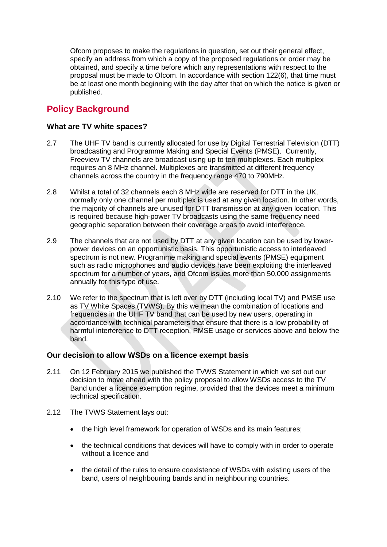Ofcom proposes to make the regulations in question, set out their general effect, specify an address from which a copy of the proposed regulations or order may be obtained, and specify a time before which any representations with respect to the proposal must be made to Ofcom. In accordance with section 122(6), that time must be at least one month beginning with the day after that on which the notice is given or published.

### **Policy Background**

#### **What are TV white spaces?**

- 2.7 The UHF TV band is currently allocated for use by Digital Terrestrial Television (DTT) broadcasting and Programme Making and Special Events (PMSE). Currently, Freeview TV channels are broadcast using up to ten multiplexes. Each multiplex requires an 8 MHz channel. Multiplexes are transmitted at different frequency channels across the country in the frequency range 470 to 790MHz.
- 2.8 Whilst a total of 32 channels each 8 MHz wide are reserved for DTT in the UK, normally only one channel per multiplex is used at any given location. In other words, the majority of channels are unused for DTT transmission at any given location. This is required because high-power TV broadcasts using the same frequency need geographic separation between their coverage areas to avoid interference.
- 2.9 The channels that are not used by DTT at any given location can be used by lowerpower devices on an opportunistic basis. This opportunistic access to interleaved spectrum is not new. Programme making and special events (PMSE) equipment such as radio microphones and audio devices have been exploiting the interleaved spectrum for a number of years, and Ofcom issues more than 50,000 assignments annually for this type of use.
- 2.10 We refer to the spectrum that is left over by DTT (including local TV) and PMSE use as TV White Spaces (TVWS). By this we mean the combination of locations and frequencies in the UHF TV band that can be used by new users, operating in accordance with technical parameters that ensure that there is a low probability of harmful interference to DTT reception, PMSE usage or services above and below the band.

#### **Our decision to allow WSDs on a licence exempt basis**

- 2.11 On 12 February 2015 we published the TVWS Statement in which we set out our decision to move ahead with the policy proposal to allow WSDs access to the TV Band under a licence exemption regime, provided that the devices meet a minimum technical specification.
- 2.12 The TVWS Statement lays out:
	- the high level framework for operation of WSDs and its main features;
	- the technical conditions that devices will have to comply with in order to operate without a licence and
	- the detail of the rules to ensure coexistence of WSDs with existing users of the band, users of neighbouring bands and in neighbouring countries.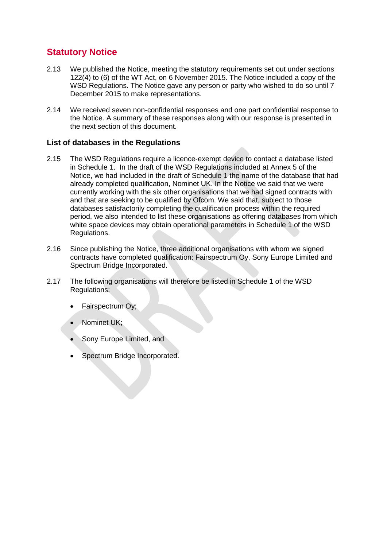## **Statutory Notice**

- 2.13 We published the Notice, meeting the statutory requirements set out under sections 122(4) to (6) of the WT Act, on 6 November 2015. The Notice included a copy of the WSD Regulations. The Notice gave any person or party who wished to do so until 7 December 2015 to make representations.
- 2.14 We received seven non-confidential responses and one part confidential response to the Notice. A summary of these responses along with our response is presented in the next section of this document.

#### **List of databases in the Regulations**

- 2.15 The WSD Regulations require a licence-exempt device to contact a database listed in Schedule 1. In the draft of the WSD Regulations included at Annex 5 of the Notice, we had included in the draft of Schedule 1 the name of the database that had already completed qualification, Nominet UK. In the Notice we said that we were currently working with the six other organisations that we had signed contracts with and that are seeking to be qualified by Ofcom. We said that, subject to those databases satisfactorily completing the qualification process within the required period, we also intended to list these organisations as offering databases from which white space devices may obtain operational parameters in Schedule 1 of the WSD Regulations.
- 2.16 Since publishing the Notice, three additional organisations with whom we signed contracts have completed qualification: Fairspectrum Oy, Sony Europe Limited and Spectrum Bridge Incorporated.
- 2.17 The following organisations will therefore be listed in Schedule 1 of the WSD Regulations:
	- Fairspectrum Oy;
	- Nominet UK;
	- Sony Europe Limited, and
	- Spectrum Bridge Incorporated.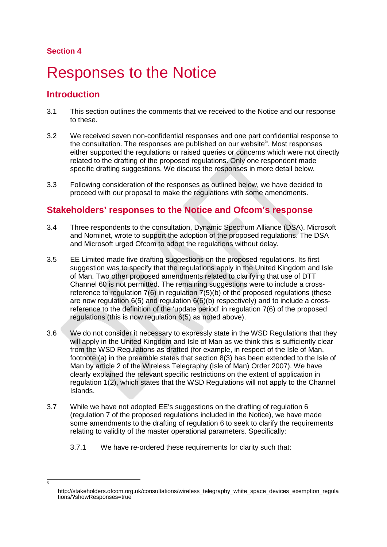<span id="page-8-1"></span>-<br>5

## <span id="page-8-0"></span>**Responses to the Notice**

### **Introduction**

- 3.1 This section outlines the comments that we received to the Notice and our response to these.
- 3.2 We received seven non-confidential responses and one part confidential response to the consultation. The responses are published on our website<sup>[5](#page-8-1)</sup>. Most responses either supported the regulations or raised queries or concerns which were not directly related to the drafting of the proposed regulations. Only one respondent made specific drafting suggestions. We discuss the responses in more detail below.
- 3.3 Following consideration of the responses as outlined below, we have decided to proceed with our proposal to make the regulations with some amendments.

## **Stakeholders' responses to the Notice and Ofcom's response**

- 3.4 Three respondents to the consultation, Dynamic Spectrum Alliance (DSA), Microsoft and Nominet, wrote to support the adoption of the proposed regulations. The DSA and Microsoft urged Ofcom to adopt the regulations without delay.
- 3.5 EE Limited made five drafting suggestions on the proposed regulations. Its first suggestion was to specify that the regulations apply in the United Kingdom and Isle of Man. Two other proposed amendments related to clarifying that use of DTT Channel 60 is not permitted. The remaining suggestions were to include a crossreference to regulation 7(6) in regulation 7(5)(b) of the proposed regulations (these are now regulation 6(5) and regulation 6(6)(b) respectively) and to include a crossreference to the definition of the 'update period' in regulation 7(6) of the proposed regulations (this is now regulation 6(5) as noted above).
- 3.6 We do not consider it necessary to expressly state in the WSD Regulations that they will apply in the United Kingdom and Isle of Man as we think this is sufficiently clear from the WSD Regulations as drafted (for example, in respect of the Isle of Man, footnote (a) in the preamble states that section 8(3) has been extended to the Isle of Man by article 2 of the Wireless Telegraphy (Isle of Man) Order 2007). We have clearly explained the relevant specific restrictions on the extent of application in regulation 1(2), which states that the WSD Regulations will not apply to the Channel Islands.
- 3.7 While we have not adopted EE's suggestions on the drafting of regulation 6 (regulation 7 of the proposed regulations included in the Notice), we have made some amendments to the drafting of regulation 6 to seek to clarify the requirements relating to validity of the master operational parameters. Specifically:
	- 3.7.1 We have re-ordered these requirements for clarity such that:

http://stakeholders.ofcom.org.uk/consultations/wireless\_telegraphy\_white\_space\_devices\_exemption\_regula tions/?showResponses=true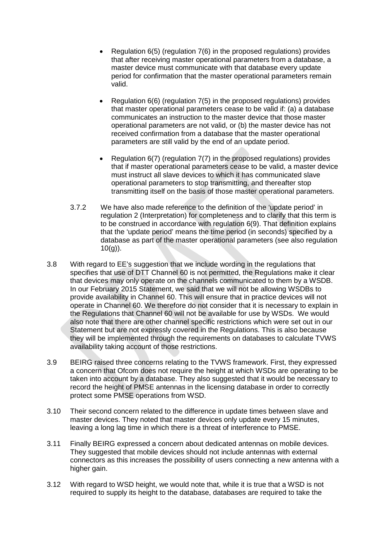- Regulation 6(5) (regulation 7(6) in the proposed regulations) provides that after receiving master operational parameters from a database, a master device must communicate with that database every update period for confirmation that the master operational parameters remain valid.
- Regulation 6(6) (regulation 7(5) in the proposed regulations) provides that master operational parameters cease to be valid if: (a) a database communicates an instruction to the master device that those master operational parameters are not valid, or (b) the master device has not received confirmation from a database that the master operational parameters are still valid by the end of an update period.
- Regulation 6(7) (regulation 7(7) in the proposed regulations) provides that if master operational parameters cease to be valid, a master device must instruct all slave devices to which it has communicated slave operational parameters to stop transmitting, and thereafter stop transmitting itself on the basis of those master operational parameters.
- 3.7.2 We have also made reference to the definition of the 'update period' in regulation 2 (Interpretation) for completeness and to clarify that this term is to be construed in accordance with regulation 6(9). That definition explains that the 'update period' means the time period (in seconds) specified by a database as part of the master operational parameters (see also regulation  $10(q)$ ).
- 3.8 With regard to EE's suggestion that we include wording in the regulations that specifies that use of DTT Channel 60 is not permitted, the Regulations make it clear that devices may only operate on the channels communicated to them by a WSDB. In our February 2015 Statement, we said that we will not be allowing WSDBs to provide availability in Channel 60. This will ensure that in practice devices will not operate in Channel 60. We therefore do not consider that it is necessary to explain in the Regulations that Channel 60 will not be available for use by WSDs. We would also note that there are other channel specific restrictions which were set out in our Statement but are not expressly covered in the Regulations. This is also because they will be implemented through the requirements on databases to calculate TVWS availability taking account of those restrictions.
- 3.9 BEIRG raised three concerns relating to the TVWS framework. First, they expressed a concern that Ofcom does not require the height at which WSDs are operating to be taken into account by a database. They also suggested that it would be necessary to record the height of PMSE antennas in the licensing database in order to correctly protect some PMSE operations from WSD.
- 3.10 Their second concern related to the difference in update times between slave and master devices. They noted that master devices only update every 15 minutes, leaving a long lag time in which there is a threat of interference to PMSE.
- 3.11 Finally BEIRG expressed a concern about dedicated antennas on mobile devices. They suggested that mobile devices should not include antennas with external connectors as this increases the possibility of users connecting a new antenna with a higher gain.
- 3.12 With regard to WSD height, we would note that, while it is true that a WSD is not required to supply its height to the database, databases are required to take the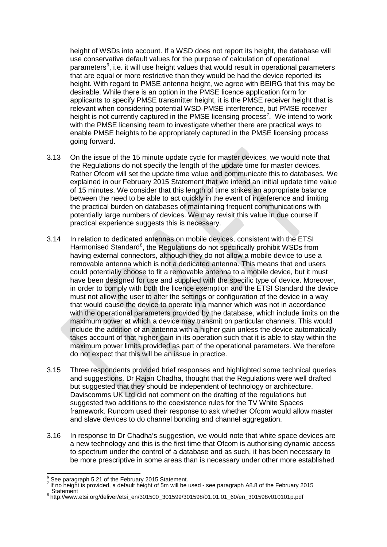height of WSDs into account. If a WSD does not report its height, the database will use conservative default values for the purpose of calculation of operational parameters<sup>[6](#page-10-0)</sup>, i.e. it will use height values that would result in operational parameters that are equal or more restrictive than they would be had the device reported its height. With regard to PMSE antenna height, we agree with BEIRG that this may be desirable. While there is an option in the PMSE licence application form for applicants to specify PMSE transmitter height, it is the PMSE receiver height that is relevant when considering potential WSD-PMSE interference, but PMSE receiver height is not currently captured in the PMSE licensing process<sup>[7](#page-10-1)</sup>. We intend to work with the PMSE licensing team to investigate whether there are practical ways to enable PMSE heights to be appropriately captured in the PMSE licensing process going forward.

- 3.13 On the issue of the 15 minute update cycle for master devices, we would note that the Regulations do not specify the length of the update time for master devices. Rather Ofcom will set the update time value and communicate this to databases. We explained in our February 2015 Statement that we intend an initial update time value of 15 minutes. We consider that this length of time strikes an appropriate balance between the need to be able to act quickly in the event of interference and limiting the practical burden on databases of maintaining frequent communications with potentially large numbers of devices. We may revisit this value in due course if practical experience suggests this is necessary.
- 3.14 In relation to dedicated antennas on mobile devices, consistent with the ETSI Harmonised Standard<sup>[8](#page-10-2)</sup>, the Regulations do not specifically prohibit WSDs from having external connectors, although they do not allow a mobile device to use a removable antenna which is not a dedicated antenna. This means that end users could potentially choose to fit a removable antenna to a mobile device, but it must have been designed for use and supplied with the specific type of device. Moreover, in order to comply with both the licence exemption and the ETSI Standard the device must not allow the user to alter the settings or configuration of the device in a way that would cause the device to operate in a manner which was not in accordance with the operational parameters provided by the database, which include limits on the maximum power at which a device may transmit on particular channels. This would include the addition of an antenna with a higher gain unless the device automatically takes account of that higher gain in its operation such that it is able to stay within the maximum power limits provided as part of the operational parameters. We therefore do not expect that this will be an issue in practice.
- 3.15 Three respondents provided brief responses and highlighted some technical queries and suggestions. Dr Rajan Chadha, thought that the Regulations were well drafted but suggested that they should be independent of technology or architecture. Daviscomms UK Ltd did not comment on the drafting of the regulations but suggested two additions to the coexistence rules for the TV White Spaces framework. Runcom used their response to ask whether Ofcom would allow master and slave devices to do channel bonding and channel aggregation.
- 3.16 In response to Dr Chadha's suggestion, we would note that white space devices are a new technology and this is the first time that Ofcom is authorising dynamic access to spectrum under the control of a database and as such, it has been necessary to be more prescriptive in some areas than is necessary under other more established

 $\overline{a}$ 

<span id="page-10-0"></span>See paragraph 5.21 of the February 2015 Statement.<br>If no height is provided, a default height of 5m will be used - see paragraph A8.8 of the February 2015<br>Statement

<span id="page-10-2"></span><span id="page-10-1"></span>Statement <sup>8</sup> http://www.etsi.org/deliver/etsi\_en/301500\_301599/301598/01.01.01\_60/en\_301598v010101p.pdf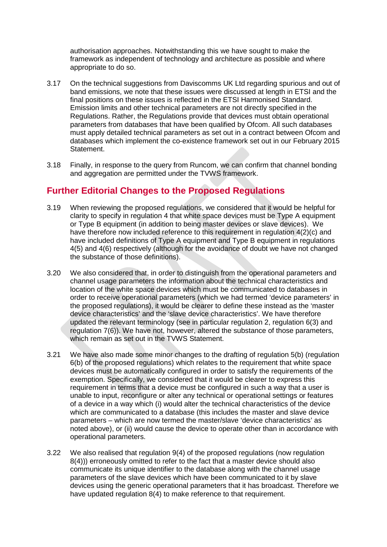authorisation approaches. Notwithstanding this we have sought to make the framework as independent of technology and architecture as possible and where appropriate to do so.

- 3.17 On the technical suggestions from Daviscomms UK Ltd regarding spurious and out of band emissions, we note that these issues were discussed at length in ETSI and the final positions on these issues is reflected in the ETSI Harmonised Standard. Emission limits and other technical parameters are not directly specified in the Regulations. Rather, the Regulations provide that devices must obtain operational parameters from databases that have been qualified by Ofcom. All such databases must apply detailed technical parameters as set out in a contract between Ofcom and databases which implement the co-existence framework set out in our February 2015 Statement.
- 3.18 Finally, in response to the query from Runcom, we can confirm that channel bonding and aggregation are permitted under the TVWS framework.

### **Further Editorial Changes to the Proposed Regulations**

- 3.19 When reviewing the proposed regulations, we considered that it would be helpful for clarity to specify in regulation 4 that white space devices must be Type A equipment or Type B equipment (in addition to being master devices or slave devices). We have therefore now included reference to this requirement in regulation 4(2)(c) and have included definitions of Type A equipment and Type B equipment in regulations 4(5) and 4(6) respectively (although for the avoidance of doubt we have not changed the substance of those definitions).
- 3.20 We also considered that, in order to distinguish from the operational parameters and channel usage parameters the information about the technical characteristics and location of the white space devices which must be communicated to databases in order to receive operational parameters (which we had termed 'device parameters' in the proposed regulations), it would be clearer to define these instead as the 'master device characteristics' and the 'slave device characteristics'. We have therefore updated the relevant terminology (see in particular regulation 2, regulation 6(3) and regulation 7(6)). We have not, however, altered the substance of those parameters, which remain as set out in the TVWS Statement.
- 3.21 We have also made some minor changes to the drafting of regulation 5(b) (regulation 6(b) of the proposed regulations) which relates to the requirement that white space devices must be automatically configured in order to satisfy the requirements of the exemption. Specifically, we considered that it would be clearer to express this requirement in terms that a device must be configured in such a way that a user is unable to input, reconfigure or alter any technical or operational settings or features of a device in a way which (i) would alter the technical characteristics of the device which are communicated to a database (this includes the master and slave device parameters – which are now termed the master/slave 'device characteristics' as noted above), or (ii) would cause the device to operate other than in accordance with operational parameters.
- 3.22 We also realised that regulation 9(4) of the proposed regulations (now regulation 8(4))) erroneously omitted to refer to the fact that a master device should also communicate its unique identifier to the database along with the channel usage parameters of the slave devices which have been communicated to it by slave devices using the generic operational parameters that it has broadcast. Therefore we have updated regulation 8(4) to make reference to that requirement.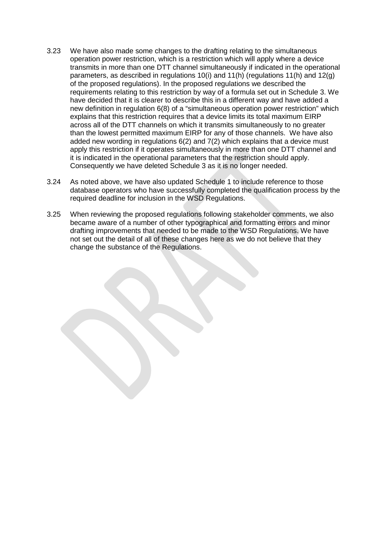- <span id="page-12-0"></span>3.23 We have also made some changes to the drafting relating to the simultaneous operation power restriction, which is a restriction which will apply where a device transmits in more than one DTT channel simultaneously if indicated in the operational parameters, as described in regulations 10(i) and 11(h) (regulations 11(h) and 12(g) of the proposed regulations). In the proposed regulations we described the requirements relating to this restriction by way of a formula set out in Schedule 3. We have decided that it is clearer to describe this in a different way and have added a new definition in regulation 6(8) of a "simultaneous operation power restriction" which explains that this restriction requires that a device limits its total maximum EIRP across all of the DTT channels on which it transmits simultaneously to no greater than the lowest permitted maximum EIRP for any of those channels. We have also added new wording in regulations 6(2) and 7(2) which explains that a device must apply this restriction if it operates simultaneously in more than one DTT channel and it is indicated in the operational parameters that the restriction should apply. Consequently we have deleted Schedule 3 as it is no longer needed.
- 3.24 As noted above, we have also updated Schedule 1 to include reference to those database operators who have successfully completed the qualification process by the required deadline for inclusion in the WSD Regulations.
- 3.25 When reviewing the proposed regulations following stakeholder comments, we also became aware of a number of other typographical and formatting errors and minor drafting improvements that needed to be made to the WSD Regulations. We have not set out the detail of all of these changes here as we do not believe that they change the substance of the Regulations.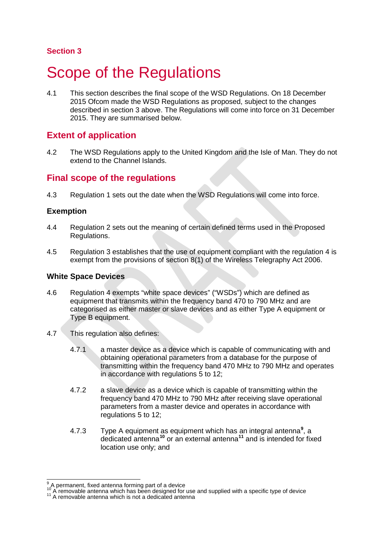## <span id="page-13-0"></span>**Scope of the Regulations**

4.1 This section describes the final scope of the WSD Regulations. On 18 December 2015 Ofcom made the WSD Regulations as proposed, subject to the changes described in section 3 above. The Regulations will come into force on 31 December 2015. They are summarised below.

### **Extent of application**

4.2 The WSD Regulations apply to the United Kingdom and the Isle of Man. They do not extend to the Channel Islands.

### **Final scope of the regulations**

4.3 Regulation 1 sets out the date when the WSD Regulations will come into force.

#### **Exemption**

- 4.4 Regulation 2 sets out the meaning of certain defined terms used in the Proposed Regulations.
- 4.5 Regulation 3 establishes that the use of equipment compliant with the regulation 4 is exempt from the provisions of section 8(1) of the Wireless Telegraphy Act 2006.

#### **White Space Devices**

- 4.6 Regulation 4 exempts "white space devices" ("WSDs") which are defined as equipment that transmits within the frequency band 470 to 790 MHz and are categorised as either master or slave devices and as either Type A equipment or Type B equipment.
- 4.7 This regulation also defines:
	- 4.7.1 a master device as a device which is capable of communicating with and obtaining operational parameters from a database for the purpose of transmitting within the frequency band 470 MHz to 790 MHz and operates in accordance with regulations 5 to 12;
	- 4.7.2 a slave device as a device which is capable of transmitting within the frequency band 470 MHz to 790 MHz after receiving slave operational parameters from a master device and operates in accordance with regulations 5 to 12;
	- 4.7.3 Type A equipment as equipment which has an integral antenna**[9](#page-13-1)** , a dedicated antenna**[10](#page-13-2)** or an external antenna**[11](#page-13-3)** and is intended for fixed location use only; and

 $^{9}$  A permanent, fixed antenna forming part of a device

<span id="page-13-3"></span><span id="page-13-2"></span><span id="page-13-1"></span><sup>10</sup> A removable antenna which has been designed for use and supplied with a specific type of device <sup>11</sup> A removable antenna which is not a dedicated antenna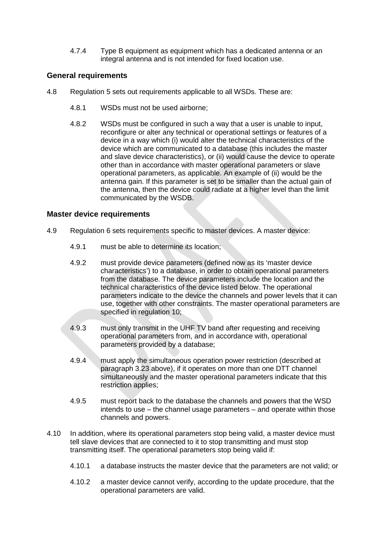4.7.4 Type B equipment as equipment which has a dedicated antenna or an integral antenna and is not intended for fixed location use.

#### **General requirements**

- 4.8 Regulation 5 sets out requirements applicable to all WSDs. These are:
	- 4.8.1 WSDs must not be used airborne;
	- 4.8.2 WSDs must be configured in such a way that a user is unable to input, reconfigure or alter any technical or operational settings or features of a device in a way which (i) would alter the technical characteristics of the device which are communicated to a database (this includes the master and slave device characteristics), or (ii) would cause the device to operate other than in accordance with master operational parameters or slave operational parameters, as applicable. An example of (ii) would be the antenna gain. If this parameter is set to be smaller than the actual gain of the antenna, then the device could radiate at a higher level than the limit communicated by the WSDB.

#### **Master device requirements**

- 4.9 Regulation 6 sets requirements specific to master devices. A master device:
	- 4.9.1 must be able to determine its location;
	- 4.9.2 must provide device parameters (defined now as its 'master device characteristics') to a database, in order to obtain operational parameters from the database. The device parameters include the location and the technical characteristics of the device listed below. The operational parameters indicate to the device the channels and power levels that it can use, together with other constraints. The master operational parameters are specified in regulation 10;
	- 4.9.3 must only transmit in the UHF TV band after requesting and receiving operational parameters from, and in accordance with, operational parameters provided by a database;
	- 4.9.4 must apply the simultaneous operation power restriction (described at paragraph [3.23](#page-12-0) above), if it operates on more than one DTT channel simultaneously and the master operational parameters indicate that this restriction applies;
	- 4.9.5 must report back to the database the channels and powers that the WSD intends to use – the channel usage parameters – and operate within those channels and powers.
- 4.10 In addition, where its operational parameters stop being valid, a master device must tell slave devices that are connected to it to stop transmitting and must stop transmitting itself. The operational parameters stop being valid if:
	- 4.10.1 a database instructs the master device that the parameters are not valid; or
	- 4.10.2 a master device cannot verify, according to the update procedure, that the operational parameters are valid.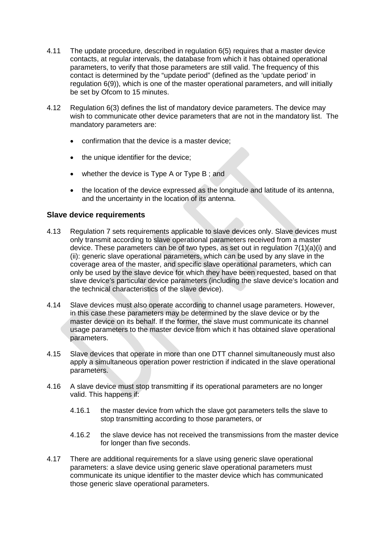- <span id="page-15-1"></span>4.11 The update procedure, described in regulation 6(5) requires that a master device contacts, at regular intervals, the database from which it has obtained operational parameters, to verify that those parameters are still valid. The frequency of this contact is determined by the "update period" (defined as the 'update period' in regulation 6(9)), which is one of the master operational parameters, and will initially be set by Ofcom to 15 minutes.
- <span id="page-15-0"></span>4.12 Regulation 6(3) defines the list of mandatory device parameters. The device may wish to communicate other device parameters that are not in the mandatory list. The mandatory parameters are:
	- confirmation that the device is a master device;
	- the unique identifier for the device;
	- whether the device is Type A or Type B; and
	- the location of the device expressed as the longitude and latitude of its antenna, and the uncertainty in the location of its antenna.

#### **Slave device requirements**

- 4.13 Regulation 7 sets requirements applicable to slave devices only. Slave devices must only transmit according to slave operational parameters received from a master device. These parameters can be of two types, as set out in regulation 7(1)(a)(i) and (ii): generic slave operational parameters, which can be used by any slave in the coverage area of the master, and specific slave operational parameters, which can only be used by the slave device for which they have been requested, based on that slave device's particular device parameters (including the slave device's location and the technical characteristics of the slave device).
- 4.14 Slave devices must also operate according to channel usage parameters. However, in this case these parameters may be determined by the slave device or by the master device on its behalf. If the former, the slave must communicate its channel usage parameters to the master device from which it has obtained slave operational parameters.
- 4.15 Slave devices that operate in more than one DTT channel simultaneously must also apply a simultaneous operation power restriction if indicated in the slave operational parameters.
- 4.16 A slave device must stop transmitting if its operational parameters are no longer valid. This happens if:
	- 4.16.1 the master device from which the slave got parameters tells the slave to stop transmitting according to those parameters, or
	- 4.16.2 the slave device has not received the transmissions from the master device for longer than five seconds.
- 4.17 There are additional requirements for a slave using generic slave operational parameters: a slave device using generic slave operational parameters must communicate its unique identifier to the master device which has communicated those generic slave operational parameters.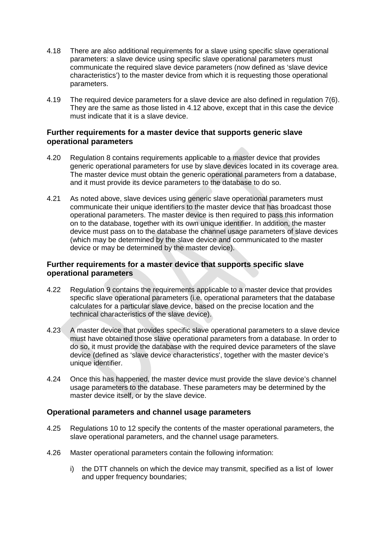- 4.18 There are also additional requirements for a slave using specific slave operational parameters: a slave device using specific slave operational parameters must communicate the required slave device parameters (now defined as 'slave device characteristics') to the master device from which it is requesting those operational parameters.
- 4.19 The required device parameters for a slave device are also defined in regulation 7(6). They are the same as those listed in [4.12](#page-15-0) above, except that in this case the device must indicate that it is a slave device.

#### **Further requirements for a master device that supports generic slave operational parameters**

- 4.20 Regulation 8 contains requirements applicable to a master device that provides generic operational parameters for use by slave devices located in its coverage area. The master device must obtain the generic operational parameters from a database, and it must provide its device parameters to the database to do so.
- 4.21 As noted above, slave devices using generic slave operational parameters must communicate their unique identifiers to the master device that has broadcast those operational parameters. The master device is then required to pass this information on to the database, together with its own unique identifier. In addition, the master device must pass on to the database the channel usage parameters of slave devices (which may be determined by the slave device and communicated to the master device or may be determined by the master device).

#### **Further requirements for a master device that supports specific slave operational parameters**

- 4.22 Regulation 9 contains the requirements applicable to a master device that provides specific slave operational parameters (i.e. operational parameters that the database calculates for a particular slave device, based on the precise location and the technical characteristics of the slave device).
- 4.23 A master device that provides specific slave operational parameters to a slave device must have obtained those slave operational parameters from a database. In order to do so, it must provide the database with the required device parameters of the slave device (defined as 'slave device characteristics', together with the master device's unique identifier.
- 4.24 Once this has happened, the master device must provide the slave device's channel usage parameters to the database. These parameters may be determined by the master device itself, or by the slave device.

#### **Operational parameters and channel usage parameters**

- 4.25 Regulations 10 to 12 specify the contents of the master operational parameters, the slave operational parameters, and the channel usage parameters.
- 4.26 Master operational parameters contain the following information:
	- i) the DTT channels on which the device may transmit, specified as a list of lower and upper frequency boundaries;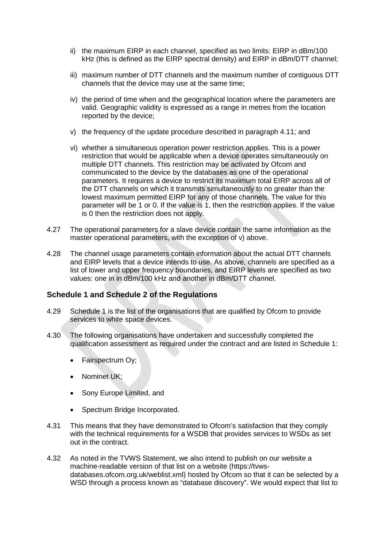- ii) the maximum EIRP in each channel, specified as two limits: EIRP in dBm/100 kHz (this is defined as the EIRP spectral density) and EIRP in dBm/DTT channel;
- iii) maximum number of DTT channels and the maximum number of contiguous DTT channels that the device may use at the same time;
- iv) the period of time when and the geographical location where the parameters are valid. Geographic validity is expressed as a range in metres from the location reported by the device;
- v) the frequency of the update procedure described in paragraph [4.11;](#page-15-1) and
- vi) whether a simultaneous operation power restriction applies. This is a power restriction that would be applicable when a device operates simultaneously on multiple DTT channels. This restriction may be activated by Ofcom and communicated to the device by the databases as one of the operational parameters. It requires a device to restrict its maximum total EIRP across all of the DTT channels on which it transmits simultaneously to no greater than the lowest maximum permitted EIRP for any of those channels. The value for this parameter will be 1 or 0. If the value is 1, then the restriction applies. If the value is 0 then the restriction does not apply.
- 4.27 The operational parameters for a slave device contain the same information as the master operational parameters, with the exception of v) above.
- 4.28 The channel usage parameters contain information about the actual DTT channels and EIRP levels that a device intends to use. As above, channels are specified as a list of lower and upper frequency boundaries, and EIRP levels are specified as two values: one in in dBm/100 kHz and another in dBm/DTT channel.

#### **Schedule 1 and Schedule 2 of the Regulations**

- 4.29 Schedule 1 is the list of the organisations that are qualified by Ofcom to provide services to white space devices.
- 4.30 The following organisations have undertaken and successfully completed the qualification assessment as required under the contract and are listed in Schedule 1:
	- Fairspectrum Oy;
	- Nominet UK;
	- Sony Europe Limited, and
	- Spectrum Bridge Incorporated.
- 4.31 This means that they have demonstrated to Ofcom's satisfaction that they comply with the technical requirements for a WSDB that provides services to WSDs as set out in the contract.
- 4.32 As noted in the TVWS Statement, we also intend to publish on our website a machine-readable version of that list on a website (https://tvwsdatabases.ofcom.org.uk/weblist.xml) hosted by Ofcom so that it can be selected by a WSD through a process known as "database discovery". We would expect that list to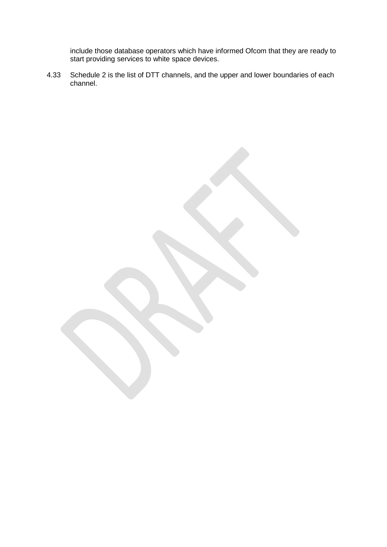include those database operators which have informed Ofcom that they are ready to start providing services to white space devices.

4.33 Schedule 2 is the list of DTT channels, and the upper and lower boundaries of each channel.